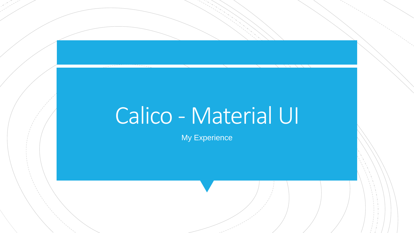# Calico - Material UI

My Experience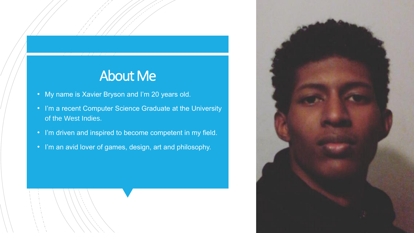### About Me

- My name is Xavier Bryson and I'm 20 years old.
- I'm a recent Computer Science Graduate at the University of the West Indies.
- I'm driven and inspired to become competent in my field.
- I'm an avid lover of games, design, art and philosophy.

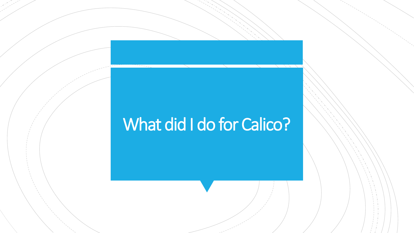# What did I do for Calico?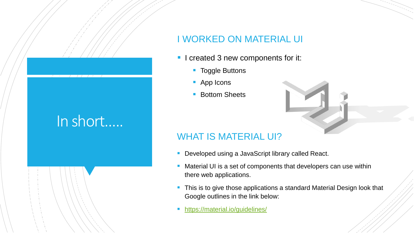## In short…..

### I WORKED ON MATERIAL UI

- I created 3 new components for it:
	- **Toggle Buttons**
	- App Icons
	- Bottom Sheets



### WHAT IS MATERIAL UI?

- Developed using a JavaScript library called React.
- Material UI is a set of components that developers can use within there web applications.
- This is to give those applications a standard Material Design look that Google outlines in the link below:
- <https://material.io/guidelines/>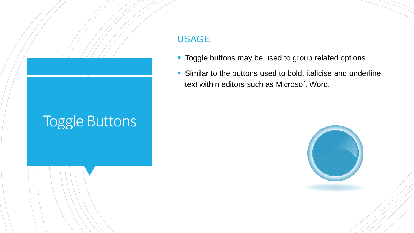# Toggle Buttons

### USAGE

- **Toggle buttons may be used to group related options.**
- **Similar to the buttons used to bold, italicise and underline** text within editors such as Microsoft Word.

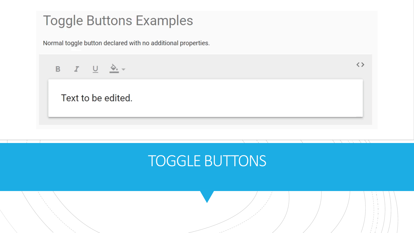### **Toggle Buttons Examples**

Normal toggle button declared with no additional properties.

 $\langle$   $\rangle$ B  $I \cup \overset{\Delta}{\longrightarrow}$ Text to be edited.

## TOGGLE BUTTONS

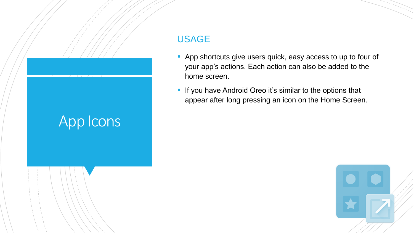# App Icons

### USAGE

- **App shortcuts give users quick, easy access to up to four of** your app's actions. Each action can also be added to the home screen.
- **If you have Android Oreo it's similar to the options that** appear after long pressing an icon on the Home Screen.

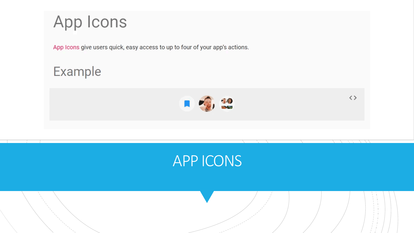



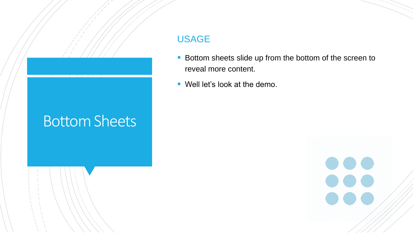# Bottom Sheets

### USAGE

- **Bottom sheets slide up from the bottom of the screen to** reveal more content.
- Well let's look at the demo.

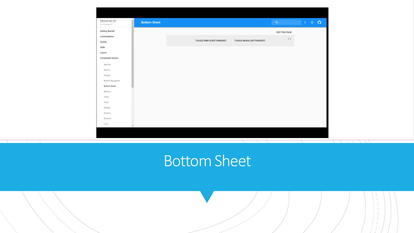| $\hat{=}$                                             |                           |                          |                       |    |       |  |
|-------------------------------------------------------|---------------------------|--------------------------|-----------------------|----|-------|--|
| Material-UI<br><b>Bottom Sheet</b><br>v1.0.0-alpha.22 |                           |                          | $\mathsf Q$           | Ŧ. | $9$ 0 |  |
| <b>Getting Started</b>                                |                           |                          | <b>EDIT THIS PAGE</b> |    |       |  |
| Customization                                         | TOGGLE SIMPLE BOTTOMSHEET | TOGGLE MODAL BOTTOMSHEET | $\langle$ $\rangle$   |    |       |  |
| Guides                                                |                           |                          |                       |    |       |  |
| Style<br>Layout                                       |                           |                          |                       |    |       |  |
| <b>Component Demos</b>                                |                           |                          |                       |    |       |  |
| App Bar                                               |                           |                          |                       |    |       |  |
| Avatars                                               |                           |                          |                       |    |       |  |
| Badges                                                |                           |                          |                       |    |       |  |
| Bottom Navigation                                     |                           |                          |                       |    |       |  |
| <b>Bottom Sheet</b>                                   |                           |                          |                       |    |       |  |
| Buttons                                               |                           |                          |                       |    |       |  |
| Cards                                                 |                           |                          |                       |    |       |  |
| Chips<br>Dialogs                                      |                           |                          |                       |    |       |  |
| Dividers                                              |                           |                          |                       |    |       |  |
| Drawers                                               |                           |                          |                       |    |       |  |
| Lists<br>$\mathbf{v}$                                 |                           |                          |                       |    |       |  |
|                                                       |                           |                          |                       |    |       |  |

### Bottom Sheet

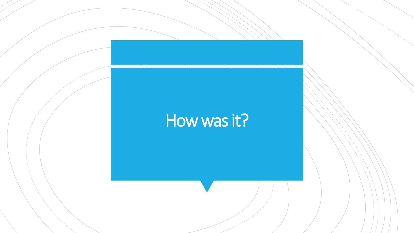# How was it?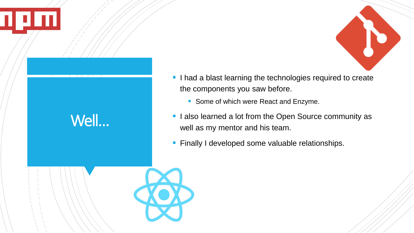

- **I** had a blast learning the technologies required to create the components you saw before.
	- Some of which were React and Enzyme.
- **I also learned a lot from the Open Source community as** well as my mentor and his team.
- **Finally I developed some valuable relationships.**



Well…